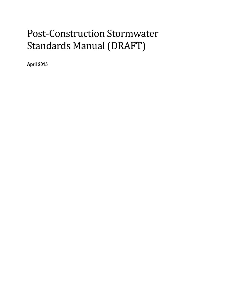# Post-Construction Stormwater Standards Manual (DRAFT)

**April 2015**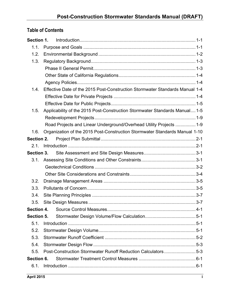# **Table of Contents**

| 1.1.              |                                                                              |  |
|-------------------|------------------------------------------------------------------------------|--|
| 1.2.              |                                                                              |  |
| 1.3.              |                                                                              |  |
|                   |                                                                              |  |
|                   |                                                                              |  |
|                   |                                                                              |  |
| 1.4               | Effective Date of the 2015 Post-Construction Stormwater Standards Manual 1-4 |  |
|                   |                                                                              |  |
|                   |                                                                              |  |
| 1.5.              | Applicability of the 2015 Post-Construction Stormwater Standards Manual 1-5  |  |
|                   |                                                                              |  |
|                   | Road Projects and Linear Underground/Overhead Utility Projects  1-9          |  |
| 1.6.              | Organization of the 2015 Post-Construction Stormwater Standards Manual 1-10  |  |
| Section 2.        |                                                                              |  |
| 2.1.              |                                                                              |  |
| <b>Section 3.</b> |                                                                              |  |
| 3.1.              |                                                                              |  |
|                   |                                                                              |  |
|                   |                                                                              |  |
| 3.2.              |                                                                              |  |
| 3.3.              |                                                                              |  |
| 3.4.              |                                                                              |  |
| 3.5.              |                                                                              |  |
| Section 4.        |                                                                              |  |
| Section 5.        |                                                                              |  |
| 5.1.              |                                                                              |  |
| 5.2.              |                                                                              |  |
| 5.3.              |                                                                              |  |
| 5.4.              |                                                                              |  |
| 5.5.              | Post-Construction Stormwater Runoff Reduction Calculators5-3                 |  |
| Section 6.        |                                                                              |  |
| 6.1.              |                                                                              |  |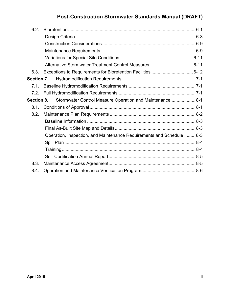# **Post-Construction Stormwater Standards Manual (DRAFT)**

| 6.2.       |                                                                      |  |
|------------|----------------------------------------------------------------------|--|
|            |                                                                      |  |
|            |                                                                      |  |
|            |                                                                      |  |
|            |                                                                      |  |
|            |                                                                      |  |
| 6.3.       |                                                                      |  |
| Section 7. |                                                                      |  |
| 7.1.       |                                                                      |  |
| 7.2.       |                                                                      |  |
| Section 8. | Stormwater Control Measure Operation and Maintenance  8-1            |  |
| 8.1.       |                                                                      |  |
| 8.2.       |                                                                      |  |
|            |                                                                      |  |
|            |                                                                      |  |
|            | Operation, Inspection, and Maintenance Requirements and Schedule 8-3 |  |
|            |                                                                      |  |
|            |                                                                      |  |
|            |                                                                      |  |
| 8.3.       |                                                                      |  |
| 8.4.       |                                                                      |  |
|            |                                                                      |  |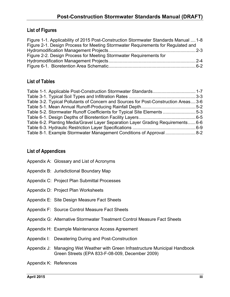### **List of Figures**

| Figure 1-1. Applicability of 2015 Post-Construction Stormwater Standards Manual  1-8 |  |
|--------------------------------------------------------------------------------------|--|
| Figure 2-1. Design Process for Meeting Stormwater Requirements for Regulated and     |  |
|                                                                                      |  |
| Figure 2-2. Design Process for Meeting Stormwater Requirements for                   |  |
|                                                                                      |  |
|                                                                                      |  |

### **List of Tables**

| Table 3-2. Typical Pollutants of Concern and Sources for Post-Construction Areas 3-6 |  |
|--------------------------------------------------------------------------------------|--|
|                                                                                      |  |
| Table 5-2. Stormwater Runoff Coefficients for Typical Site Elements 5-3              |  |
|                                                                                      |  |
| Table 6-2. Planting Media/Gravel Layer Separation Layer Grading Requirements 6-6     |  |
|                                                                                      |  |
| Table 8-1. Example Stormwater Management Conditions of Approval  8-2                 |  |

### **List of Appendices**

- Appendix A: Glossary and List of Acronyms
- Appendix B: Jurisdictional Boundary Map
- Appendix C: Project Plan Submittal Processes
- Appendix D: Project Plan Worksheets
- Appendix E: Site Design Measure Fact Sheets
- Appendix F: Source Control Measure Fact Sheets
- Appendix G: Alternative Stormwater Treatment Control Measure Fact Sheets
- Appendix H: Example Maintenance Access Agreement
- Appendix I: Dewatering During and Post-Construction
- Appendix J: Managing Wet Weather with Green Infrastructure Municipal Handbook Green Streets (EPA 833-F-08-009, December 2009)
- Appendix K: References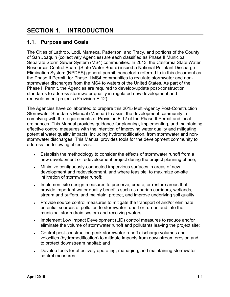# **SECTION 1. INTRODUCTION**

### **1.1. Purpose and Goals**

The Cities of Lathrop, Lodi, Manteca, Patterson, and Tracy, and portions of the County of San Joaquin (collectively Agencies) are each classified as Phase II Municipal Separate Storm Sewer System (MS4) communities. In 2013, the California State Water Resources Control Board (State Water Board) issued a National Pollutant Discharge Elimination System (NPDES) general permit, henceforth referred to in this document as the Phase II Permit, for Phase II MS4 communities to regulate stormwater and nonstormwater discharges from the MS4 to waters of the United States. As part of the Phase II Permit, the Agencies are required to develop/update post-construction standards to address stormwater quality in regulated new development and redevelopment projects (Provision E.12).

The Agencies have collaborated to prepare this 2015 Multi-Agency Post-Construction Stormwater Standards Manual (Manual) to assist the development community in complying with the requirements of Provision E.12 of the Phase II Permit and local ordinances. This Manual provides guidance for planning, implementing, and maintaining effective control measures with the intention of improving water quality and mitigating potential water quality impacts, including hydromodification, from stormwater and nonstormwater discharges. This Manual provides tools for the development community to address the following objectives:

- Establish the methodology to consider the effects of stormwater runoff from a new development or redevelopment project during the project planning phase;
- Minimize contiguously-connected impervious surfaces in areas of new development and redevelopment, and where feasible, to maximize on-site infiltration of stormwater runoff;
- Implement site design measures to preserve, create, or restore areas that provide important water quality benefits such as riparian corridors, wetlands, stream and buffers, and maintain, protect, and improve underlying soil quality;
- Provide source control measures to mitigate the transport of and/or eliminate potential sources of pollution to stormwater runoff or run-on and into the municipal storm drain system and receiving waters;
- Implement Low Impact Development (LID) control measures to reduce and/or eliminate the volume of stormwater runoff and pollutants leaving the project site;
- Control post-construction peak stormwater runoff discharge volumes and velocities (hydromodification) to mitigate impacts from downstream erosion and to protect downstream habitat; and
- Develop tools for effectively operating, managing, and maintaining stormwater control measures.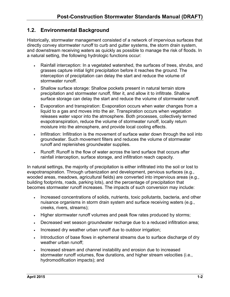### **1.2. Environmental Background**

Historically, stormwater management consisted of a network of impervious surfaces that directly convey stormwater runoff to curb and gutter systems, the storm drain system, and downstream receiving waters as quickly as possible to manage the risk of floods. In a natural setting, the following hydrologic functions occur:

- Rainfall interception: In a vegetated watershed, the surfaces of trees, shrubs, and grasses capture initial light precipitation before it reaches the ground. The interception of precipitation can delay the start and reduce the volume of stormwater runoff.
- Shallow surface storage: Shallow pockets present in natural terrain store precipitation and stormwater runoff, filter it, and allow it to infiltrate. Shallow surface storage can delay the start and reduce the volume of stormwater runoff.
- Evaporation and transpiration: Evaporation occurs when water changes from a liquid to a gas and moves into the air. Transpiration occurs when vegetation releases water vapor into the atmosphere. Both processes, collectively termed evapotranspiration, reduce the volume of stormwater runoff, locally return moisture into the atmosphere, and provide local cooling effects.
- Infiltration: Infiltration is the movement of surface water down through the soil into groundwater. Such movement filters and reduces the volume of stormwater runoff and replenishes groundwater supplies.
- Runoff: Runoff is the flow of water across the land surface that occurs after rainfall interception, surface storage, and infiltration reach capacity.

In natural settings, the majority of precipitation is either infiltrated into the soil or lost to evapotranspiration. Through urbanization and development, pervious surfaces (e.g., wooded areas, meadows, agricultural fields) are converted into impervious areas (e.g., building footprints, roads, parking lots), and the percentage of precipitation that becomes stormwater runoff increases. The impacts of such conversion may include:

- Increased concentrations of solids, nutrients, toxic pollutants, bacteria, and other nuisance organisms in storm drain system and surface receiving waters (e.g., creeks, rivers, streams);
- Higher stormwater runoff volumes and peak flow rates produced by storms;
- Decreased wet season groundwater recharge due to a reduced infiltration area;
- . Increased dry weather urban runoff due to outdoor irrigation;
- Introduction of base flows in ephemeral streams due to surface discharge of dry weather urban runoff;
- Increased stream and channel instability and erosion due to increased stormwater runoff volumes, flow durations, and higher stream velocities (i.e., hydromodification impacts); and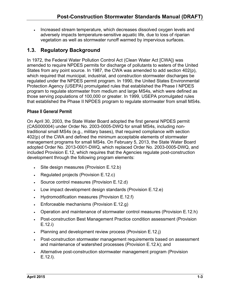. Increased stream temperature, which decreases dissolved oxygen levels and adversely impacts temperature-sensitive aquatic life, due to loss of riparian vegetation as well as stormwater runoff warmed by impervious surfaces.

### **1.3. Regulatory Background**

In 1972, the Federal Water Pollution Control Act (Clean Water Act [CWA]) was amended to require NPDES permits for discharge of pollutants to waters of the United States from any point source. In 1987, the CWA was amended to add section 402(p), which required that municipal, industrial, and construction stormwater discharges be regulated under the NPDES permit program. In 1990, the United States Environmental Protection Agency (USEPA) promulgated rules that established the Phase I NPDES program to regulate stormwater from medium and large MS4s, which were defined as those serving populations of 100,000 or greater. In 1999, USEPA promulgated rules that established the Phase II NPDES program to regulate stormwater from small MS4s.

### **Phase II General Permit**

On April 30, 2003, the State Water Board adopted the first general NPDES permit (CAS000004) under Order No. 2003-0005-DWQ for small MS4s, including nontraditional small MS4s (e.g., military bases), that required compliance with section 402(p) of the CWA and defined the minimum acceptable elements of stormwater management programs for small MS4s. On February 5, 2013, the State Water Board adopted Order No. 2013-0001-DWQ, which replaced Order No. 2003-0005-DWQ, and included Provision E.12, which requires that the Agencies regulate post-construction development through the following program elements:

- Site design measures (Provision E.12.b)
- Regulated projects (Provision E.12.c)
- Source control measures (Provision E.12.d)
- Low impact development design standards (Provision E.12.e)
- Hydromodification measures (Provision E.12.f)
- **Enforceable mechanisms (Provision E.12.g)**
- Operation and maintenance of stormwater control measures (Provision E.12.h)
- Post-construction Best Management Practice condition assessment (Provision E.12.i)
- Planning and development review process (Provision E.12.j)
- Post-construction stormwater management requirements based on assessment and maintenance of watershed processes (Provision E.12.k); and
- Alternative post-construction stormwater management program (Provision E.12.l).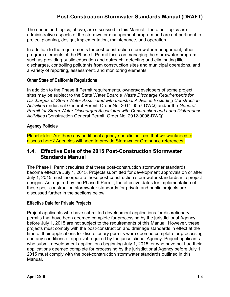The underlined topics, above, are discussed in this Manual. The other topics are administrative aspects of the stormwater management program and are not pertinent to project planning, design, implementation, maintenance, and operation.

In addition to the requirements for post-construction stormwater management, other program elements of the Phase II Permit focus on managing the stormwater program such as providing public education and outreach, detecting and eliminating illicit discharges, controlling pollutants from construction sites and municipal operations, and a variety of reporting, assessment, and monitoring elements.

### **Other State of California Regulations**

In addition to the Phase II Permit requirements, owners/developers of some project sites may be subject to the State Water Board's *Waste Discharge Requirements for Discharges of Storm Water Associated with Industrial Activities Excluding Construction Activities* (Industrial General Permit, Order No. 2014-0057-DWQ) and/or the *General Permit for Storm Water Discharges Associated with Construction and Land Disturbance Activities* (Construction General Permit, Order No. 2012-0006-DWQ).

### **Agency Policies**

Placeholder: Are there any additional agency-specific policies that we want/need to discuss here? Agencies will need to provide Stormwater Ordinance references.

### **1.4. Effective Date of the 2015 Post-Construction Stormwater Standards Manual**

The Phase II Permit requires that these post-construction stormwater standards become effective July 1, 2015. Projects submitted for development approvals on or after July 1, 2015 must incorporate these post-construction stormwater standards into project designs. As required by the Phase II Permit, the effective dates for implementation of these post-construction stormwater standards for private and public projects are discussed further in the sections below.

### **Effective Date for Private Projects**

Project applicants who have submitted development applications for discretionary permits that have been deemed complete for processing by the jurisdictional Agency before July 1, 2015 are not subject to the requirements of this Manual. However, these projects must comply with the post-construction and drainage standards in effect at the time of their applications for discretionary permits were deemed complete for processing and any conditions of approval required by the jurisdictional Agency. Project applicants who submit development applications beginning July 1, 2015, or who have not had their applications deemed complete for processing by the jurisdictional Agency before July 1, 2015 must comply with the post-construction stormwater standards outlined in this Manual.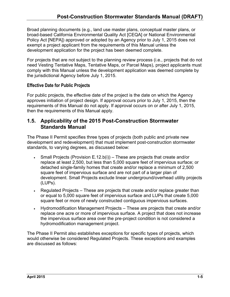Broad planning documents (e.g., land use master plans, conceptual master plans, or broad-based California Environmental Quality Act [CEQA] or National Environmental Policy Act [NEPA]) approved or adopted by an Agency prior to July 1, 2015 does not exempt a project applicant from the requirements of this Manual unless the development application for the project has been deemed complete.

For projects that are not subject to the planning review process (i.e., projects that do not need Vesting Tentative Maps, Tentative Maps, or Parcel Maps), project applicants must comply with this Manual unless the development application was deemed complete by the jurisdictional Agency before July 1, 2015.

### **Effective Date for Public Projects**

For public projects, the effective date of the project is the date on which the Agency approves initiation of project design. If approval occurs prior to July 1, 2015, then the requirements of this Manual do not apply. If approval occurs on or after July 1, 2015, then the requirements of this Manual apply.

### **1.5. Applicability of the 2015 Post-Construction Stormwater Standards Manual**

The Phase II Permit specifies three types of projects (both public and private new development and redevelopment) that must implement post-construction stormwater standards, to varying degrees, as discussed below:

- Small Projects (Provision E.12.b(i)) These are projects that create and/or replace at least 2,500, but less than 5,000 square feet of impervious surface; or detached single-family homes that create and/or replace a minimum of 2,500 square feet of impervious surface and are not part of a larger plan of development. Small Projects exclude linear underground/overhead utility projects (LUPs).
- Regulated Projects These are projects that create and/or replace greater than or equal to 5,000 square feet of impervious surface and LUPs that create 5,000 square feet or more of newly constructed contiguous impervious surfaces.
- Hydromodification Management Projects These are projects that create and/or replace one acre or more of impervious surface. A project that does not increase the impervious surface area over the pre-project condition is not considered a hydromodification management project.

The Phase II Permit also establishes exceptions for specific types of projects, which would otherwise be considered Regulated Projects. These exceptions and examples are discussed as follows: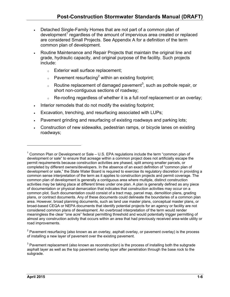- Detached Single-Family Homes that are not part of a common plan of development<sup>1</sup> regardless of the amount of impervious area created or replaced are considered Small Projects. See Appendix A for a definition of the term common plan of development.
- Routine Maintenance and Repair Projects that maintain the original line and grade, hydraulic capacity, and original purpose of the facility. Such projects include:
	- <sup>o</sup> Exterior wall surface replacement;
	- $\circ$  Pavement resurfacing<sup>2</sup> within an existing footprint;
	- $\circ$  Routine replacement of damaged pavement<sup>3</sup>, such as pothole repair, or short non-contiguous sections of roadway;
	- $\circ$  Re-roofing regardless of whether it is a full roof replacement or an overlay;
- Interior remodels that do not modify the existing footprint;
- Excavation, trenching, and resurfacing associated with LUPs;
- Pavement grinding and resurfacing of existing roadways and parking lots;
- Construction of new sidewalks, pedestrian ramps, or bicycle lanes on existing roadways;

 $\overline{a}$ 

<sup>&</sup>lt;sup>1</sup> Common Plan or Development or Sale – U.S. EPA regulations include the term "common plan of development or sale" to ensure that acreage within a common project does not artificially escape the permit requirements because construction activities are phased, split among smaller parcels, or completed by different owners/developers. In the absence of an exact definition of "common plan of development or sale," the State Water Board is required to exercise its regulatory discretion in providing a common sense interpretation of the term as it applies to construction projects and permit coverage. The common plan of development is generally a contiguous area where multiple, distinct construction activities may be taking place at different times under one plan. A plan is generally defined as any piece of documentation or physical demarcation that indicates that construction activities may occur on a common plot. Such documentation could consist of a tract map, parcel map, demolition plans, grading plans, or contract documents. Any of these documents could delineate the boundaries of a common plan area. However, broad planning documents, such as land use master plans, conceptual master plans, or broad-based CEQA or NEPA documents that identify potential projects for an agency or facility are not considered common plans of development. An overbroad interpretation of the term would render meaningless the clear "one acre" federal permitting threshold and would potentially trigger permitting of almost any construction activity that occurs within an area that had previously received area-wide utility or road improvements.

 $2$  Pavement resurfacing (also known as an overlay, asphalt overlay, or pavement overlay) is the process of installing a new layer of pavement over the existing pavement.

 $3$  Pavement replacement (also known as reconstruction) is the process of installing both the subgrade asphalt layer as well as the top pavement overlay layer after penetration through the base rock to the subgrade.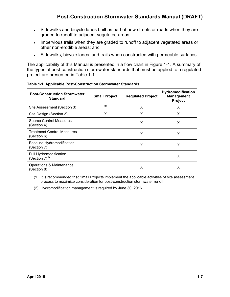- Sidewalks and bicycle lanes built as part of new streets or roads when they are graded to runoff to adjacent vegetated areas;
- Impervious trails when they are graded to runoff to adjacent vegetated areas or other non-erodible areas; and
- Sidewalks, bicycle lanes, and trails when constructed with permeable surfaces.

The applicability of this Manual is presented in a flow chart in Figure 1-1. A summary of the types of post-construction stormwater standards that must be applied to a regulated project are presented in Table 1-1.

| <b>Post-Construction Stormwater</b><br><b>Standard</b> | <b>Small Project</b> | <b>Regulated Project</b> | Hydromodification<br><b>Management</b><br><b>Project</b> |
|--------------------------------------------------------|----------------------|--------------------------|----------------------------------------------------------|
| Site Assessment (Section 3)                            | (1)                  | x                        | х                                                        |
| Site Design (Section 3)                                | X                    | X                        | X                                                        |
| Source Control Measures<br>(Section 4)                 |                      | X                        | X                                                        |
| <b>Treatment Control Measures</b><br>(Section 6)       |                      | X                        | X                                                        |
| <b>Baseline Hydromodification</b><br>(Section 7)       |                      | X                        | X                                                        |
| Full Hydromodification<br>(Section 7) $(2)$            |                      |                          | X                                                        |
| Operations & Maintenance<br>(Section 8)                |                      | х                        | х                                                        |

#### **Table 1-1. Applicable Post-Construction Stormwater Standards**

(1) It is recommended that Small Projects implement the applicable activities of site assessment process to maximize consideration for post-construction stormwater runoff.

(2) Hydromodification management is required by June 30, 2016.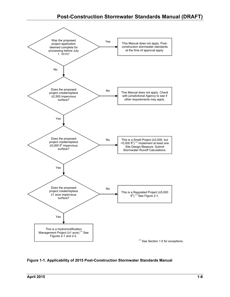

**Figure 1-1. Applicability of 2015 Post-Construction Stormwater Standards Manual**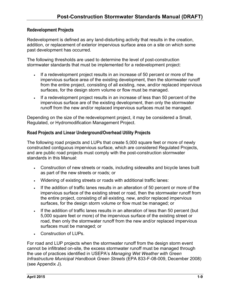#### **Redevelopment Projects**

Redevelopment is defined as any land-disturbing activity that results in the creation, addition, or replacement of exterior impervious surface area on a site on which some past development has occurred.

The following thresholds are used to determine the level of post-construction stormwater standards that must be implemented for a redevelopment project:

- If a redevelopment project results in an increase of 50 percent or more of the impervious surface area of the existing development, then the stormwater runoff from the entire project, consisting of all existing, new, and/or replaced impervious surfaces, for the design storm volume or flow must be managed.
- If a redevelopment project results in an increase of less than 50 percent of the impervious surface are of the existing development, then only the stormwater runoff from the new and/or replaced impervious surfaces must be managed.

Depending on the size of the redevelopment project, it may be considered a Small, Regulated, or Hydromodification Management Project.

#### **Road Projects and Linear Underground/Overhead Utility Projects**

The following road projects and LUPs that create 5,000 square feet or more of newly constructed contiguous impervious surface, which are considered Regulated Projects, and are public road projects must comply with the post-construction stormwater standards in this Manual:

- Construction of new streets or roads, including sidewalks and bicycle lanes built as part of the new streets or roads; or
- Widening of existing streets or roads with additional traffic lanes:
- If the addition of traffic lanes results in an alteration of 50 percent or more of the impervious surface of the existing street or road, then the stormwater runoff from the entire project, consisting of all existing, new, and/or replaced impervious surfaces, for the design storm volume or flow must be managed; or
- If the addition of traffic lanes results in an alteration of less than 50 percent (but 5,000 square feet or more) of the impervious surface of the existing street or road, then only the stormwater runoff from the new and/or replaced impervious surfaces must be managed; or
- Construction of LUPs.

For road and LUP projects when the stormwater runoff from the design storm event cannot be infiltrated on-site, the excess stormwater runoff must be managed through the use of practices identified in USEPA's *Managing Wet Weather with Green Infrastructure Municipal Handbook Green Streets* (EPA 833-F-08-009, December 2008) (see Appendix J).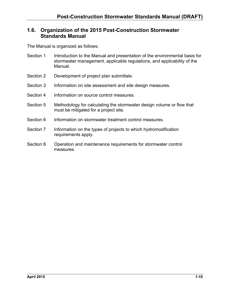### **1.6. Organization of the 2015 Post-Construction Stormwater Standards Manual**

The Manual is organized as follows:

- Section 1 Introduction to the Manual and presentation of the environmental basis for stormwater management, applicable regulations, and applicability of the Manual.
- Section 2 Development of project plan submittals.
- Section 3 Information on site assessment and site design measures.
- Section 4 Information on source control measures.
- Section 5 Methodology for calculating the stormwater design volume or flow that must be mitigated for a project site.
- Section 6 Information on stormwater treatment control measures.
- Section 7 Information on the types of projects to which hydromodification requirements apply.
- Section 8 Operation and maintenance requirements for stormwater control measures.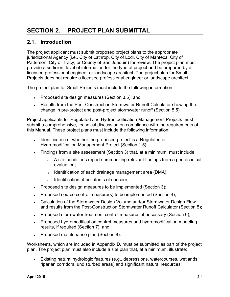# **SECTION 2. PROJECT PLAN SUBMITTAL**

### **2.1. Introduction**

The project applicant must submit proposed project plans to the appropriate jurisdictional Agency (i.e., City of Lathrop, City of Lodi, City of Manteca, City of Patterson, City of Tracy, or County of San Joaquin) for review. The project plan must provide a sufficient level of information for the type of project and be prepared by a licensed professional engineer or landscape architect. The project plan for Small Projects does not require a licensed professional engineer or landscape architect.

The project plan for Small Projects must include the following information:

- Proposed site design measures (Section 3.5); and
- Results from the Post-Construction Stormwater Runoff Calculator showing the change in pre-project and post-project stormwater runoff (Section 5.5).

Project applicants for Regulated and Hydromodification Management Projects must submit a comprehensive, technical discussion on compliance with the requirements of this Manual. These project plans must include the following information:

- Identification of whether the proposed project is a Regulated or Hydromodification Management Project (Section 1.5);
- Findings from a site assessment (Section 3) that, at a minimum, must include:
	- <sup>o</sup> A site conditions report summarizing relevant findings from a geotechnical evaluation;
	- <sup>o</sup> Identification of each drainage management area (DMA);
	- <sup>o</sup> Identification of pollutants of concern;
- Proposed site design measures to be implemented (Section 3);
- Proposed source control measure(s) to be implemented (Section 4);
- Calculation of the Stormwater Design Volume and/or Stormwater Design Flow and results from the Post-Construction Stormwater Runoff Calculator (Section 5);
- Proposed stormwater treatment control measures, if necessary (Section 6);
- Proposed hydromodification control measures and hydromodification modeling results, if required (Section 7); and
- Proposed maintenance plan (Section 8).

Worksheets, which are included in Appendix D, must be submitted as part of the project plan. The project plan must also include a site plan that, at a minimum, illustrate:

 Existing natural hydrologic features (e.g., depressions, watercourses, wetlands, riparian corridors, undisturbed areas) and significant natural resources;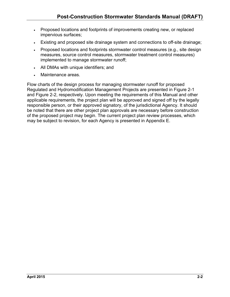- Proposed locations and footprints of improvements creating new, or replaced impervious surfaces;
- Existing and proposed site drainage system and connections to off-site drainage;
- Proposed locations and footprints stormwater control measures (e.g., site design measures, source control measures, stormwater treatment control measures) implemented to manage stormwater runoff;
- All DMAs with unique identifiers; and
- Maintenance areas.

Flow charts of the design process for managing stormwater runoff for proposed Regulated and Hydromodification Management Projects are presented in Figure 2-1 and Figure 2-2, respectively. Upon meeting the requirements of this Manual and other applicable requirements, the project plan will be approved and signed off by the legally responsible person, or their approved signatory, of the jurisdictional Agency. It should be noted that there are other project plan approvals are necessary before construction of the proposed project may begin. The current project plan review processes, which may be subject to revision, for each Agency is presented in Appendix E.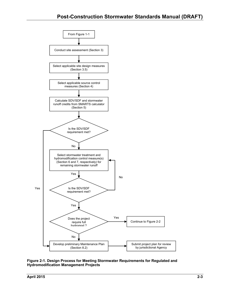

**Figure 2-1. Design Process for Meeting Stormwater Requirements for Regulated and Hydromodification Management Projects**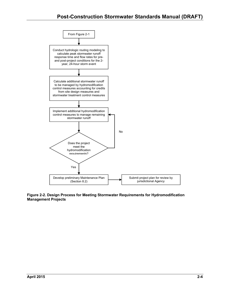

#### **Figure 2-2. Design Process for Meeting Stormwater Requirements for Hydromodification Management Projects**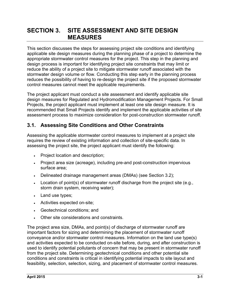## **SECTION 3. SITE ASSESSMENT AND SITE DESIGN MEASURES**

This section discusses the steps for assessing project site conditions and identifying applicable site design measures during the planning phase of a project to determine the appropriate stormwater control measures for the project. This step in the planning and design process is important for identifying project site constraints that may limit or reduce the ability of a project site to mitigate stormwater runoff associated with the stormwater design volume or flow. Conducting this step early in the planning process reduces the possibility of having to re-design the project site if the proposed stormwater control measures cannot meet the applicable requirements.

The project applicant must conduct a site assessment and identify applicable site design measures for Regulated and Hydromodification Management Projects. For Small Projects, the project applicant must implement at least one site design measure. It is recommended that Small Projects identify and implement the applicable activities of site assessment process to maximize consideration for post-construction stormwater runoff.

### **3.1. Assessing Site Conditions and Other Constraints**

Assessing the applicable stormwater control measures to implement at a project site requires the review of existing information and collection of site-specific data. In assessing the project site, the project applicant must identify the following:

- Project location and description;
- Project area size (acreage), including pre-and post-construction impervious surface area;
- Delineated drainage management areas (DMAs) (see Section 3.2);
- Location of point(s) of stormwater runoff discharge from the project site (e.g., storm drain system, receiving water);
- Land use types;
- Activities expected on-site;
- Geotechnical conditions; and
- Other site considerations and constraints.

The project area size, DMAs, and point(s) of discharge of stormwater runoff are important factors for sizing and determining the placement of stormwater runoff conveyance and/or stormwater control measures. Information on the land use type(s) and activities expected to be conducted on-site before, during, and after construction is used to identify potential pollutants of concern that may be present in stormwater runoff from the project site. Determining geotechnical conditions and other potential site conditions and constraints is critical in identifying potential impacts to site layout and feasibility, selection, selection, sizing, and placement of stormwater control measures.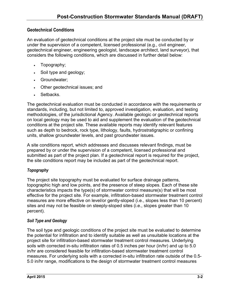### **Geotechnical Conditions**

An evaluation of geotechnical conditions at the project site must be conducted by or under the supervision of a competent, licensed professional (e.g., civil engineer, geotechnical engineer, engineering geologist, landscape architect, land surveyor), that considers the following conditions, which are discussed in further detail below:

- Topography;
- Soil type and geology;
- Groundwater;
- Other geotechnical issues; and
- Setbacks.

The geotechnical evaluation must be conducted in accordance with the requirements or standards, including, but not limited to, approved investigation, evaluation, and testing methodologies, of the jurisdictional Agency. Available geologic or geotechnical reports on local geology may be used to aid and supplement the evaluation of the geotechnical conditions at the project site. These available reports may identify relevant features such as depth to bedrock, rock type, lithology, faults, hydrostratigraphic or confining units, shallow groundwater levels, and past groundwater issues.

A site conditions report, which addresses and discusses relevant findings, must be prepared by or under the supervision of a competent, licensed professional and submitted as part of the project plan. If a geotechnical report is required for the project, the site conditions report may be included as part of the geotechnical report.

### *Topography*

The project site topography must be evaluated for surface drainage patterns, topographic high and low points, and the presence of steep slopes. Each of these site characteristics impacts the type(s) of stormwater control measure(s) that will be most effective for the project site. For example, infiltration-based stormwater treatment control measures are more effective on level/or gently-sloped (i.e., slopes less than 10 percent) sites and may not be feasible on steeply-sloped sites (i.e., slopes greater than 10 percent).

### *Soil Type and Geology*

The soil type and geologic conditions of the project site must be evaluated to determine the potential for infiltration and to identify suitable as well as unsuitable locations at the project site for infiltration-based stormwater treatment control measures. Underlying soils with corrected in-situ infiltration rates of 0.5 inches per hour (in/hr) and up to 5.0 in/hr are considered feasible for infiltration-based stormwater treatment control measures. For underlying soils with a corrected in-situ infiltration rate outside of the 0.5- 5.0 in/hr range, modifications to the design of stormwater treatment control measures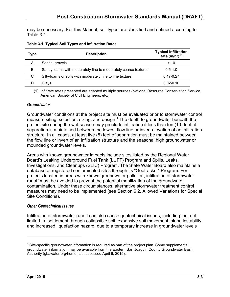may be necessary. For this Manual, soil types are classified and defined according to Table 3-1.

| Table 3-1. Typical Soil Types and Infiltration Rates |  |  |
|------------------------------------------------------|--|--|
|------------------------------------------------------|--|--|

| Type | <b>Description</b>                                             | Typical Infiltration<br>Rate (in/hr) <sup>(1)</sup> |
|------|----------------------------------------------------------------|-----------------------------------------------------|
| A    | Sands, gravels                                                 | >1.0                                                |
| B    | Sandy loams with moderately fine to moderately coarse textures | $0.5 - 1.0$                                         |
| C    | Silty-loams or soils with moderately fine to fine texture      | $0.17 - 0.27$                                       |
|      | Clays                                                          | $0.02 - 0.10$                                       |

(1) Infiltrate rates presented are adapted multiple sources (National Resource Conservation Service, American Society of Civil Engineers, etc.).

#### *Groundwater*

Groundwater conditions at the project site must be evaluated prior to stormwater control measure siting, selection, sizing, and design. $4$  The depth to groundwater beneath the project site during the wet season may preclude infiltration if less than ten (10) feet of separation is maintained between the lowest flow line or invert elevation of an infiltration structure. In all cases, at least five (5) feet of separation must be maintained between the flow line or invert of an infiltration structure and the seasonal high groundwater or mounded groundwater levels.

Areas with known groundwater impacts include sites listed by the Regional Water Board's Leaking Underground Fuel Tank (LUFT) Program and Spills, Leaks, Investigations, and Cleanups (SLIC) Program. The State Water Board also maintains a database of registered contaminated sites through its "Geotracker" Program. For projects located in areas with known groundwater pollution, infiltration of stormwater runoff must be avoided to prevent the potential mobilization of the groundwater contamination. Under these circumstances, alternative stormwater treatment control measures may need to be implemented (see Section 6.2, Allowed Variations for Special Site Conditions).

#### *Other Geotechnical Issues*

Infiltration of stormwater runoff can also cause geotechnical issues, including, but not limited to, settlement through collapsible soil, expansive soil movement, slope instability, and increased liquefaction hazard, due to a temporary increase in groundwater levels

<u>.</u>

 $4$  Site-specific groundwater information is required as part of the project plan. Some supplemental groundwater information may be available from the Eastern San Joaquin County Groundwater Basin Authority (gbawater.org/home, last accessed April 6, 2015).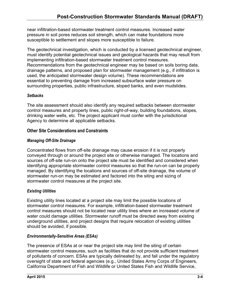near infiltration-based stormwater treatment control measures. Increased water pressure in soil pores reduces soil strength, which can make foundations more susceptible to settlement and slopes more susceptible to failure.

The geotechnical investigation, which is conducted by a licensed geotechnical engineer, must identify potential geotechnical issues and geological hazards that may result from implementing infiltration-based stormwater treatment control measures. Recommendations from the geotechnical engineer may be based on soils boring data, drainage patterns, and proposed plan for stormwater management (e.g., if infiltration is used, the anticipated stormwater design volume). These recommendations are essential to preventing damage from increased subsurface water pressure on surrounding properties, public infrastructure, sloped banks, and even mudslides.

### *Setbacks*

The site assessment should also identify any required setbacks between stormwater control measures and property lines, public right-of-way, building foundations, slopes, drinking water wells, etc. The project applicant must confer with the jurisdictional Agency to determine all applicable setbacks.

### **Other Site Considerations and Constraints**

### *Managing Off-Site Drainage*

Concentrated flows from off-site drainage may cause erosion if it is not properly conveyed through or around the project site or otherwise managed. The locations and sources of off-site run-on onto the project site must be identified and considered when identifying appropriate stormwater control measures so that the run-on can be properly managed. By identifying the locations and sources of off-site drainage, the volume of stormwater run-on may be estimated and factored into the siting and sizing of stormwater control measures at the project site.

### *Existing Utilities*

Existing utility lines located at a project site may limit the possible locations of stormwater control measures. For example, infiltration-based stormwater treatment control measures should not be located near utility lines where an increased volume of water could damage utilities. Stormwater runoff must be directed away from existing underground utilities, and project designs that require relocation of existing utilities should be avoided, if possible.

### *Environmentally-Sensitive Areas (ESAs)*

The presence of ESAs at or near the project site may limit the siting of certain stormwater control measures, such as facilities that do not provide sufficient treatment of pollutants of concern. ESAs are typically delineated by, and fall under the regulatory oversight of state and federal agencies (e.g., United States Army Corps of Engineers, California Department of Fish and Wildlife or United States Fish and Wildlife Service,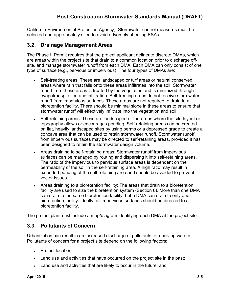California Environmental Protection Agency). Stormwater control measures must be selected and appropriately sited to avoid adversely affecting ESAs.

### **3.2. Drainage Management Areas**

The Phase II Permit requires that the project applicant delineate discrete DMAs, which are areas within the project site that drain to a common location prior to discharge offsite, and manage stormwater runoff from each DMA. Each DMA can only consist of one type of surface (e.g., pervious or impervious). The four types of DMAs are:

- Self-treating areas: These are landscaped or turf areas or natural conserved areas where rain that falls onto these areas infiltrates into the soil. Stormwater runoff from these areas is treated by the vegetation and is minimized through evapotranspiration and infiltration. Self-treating areas do not receive stormwater runoff from impervious surfaces. These areas are not required to drain to a bioretention facility. There should be minimal slope in these areas to ensure that stormwater runoff will effectively infiltrate into the vegetation and soil.
- Self-retaining areas: These are landscaped or turf areas where the site layout or topography allows or encourages ponding. Self-retaining areas can be created on flat, heavily landscaped sites by using berms or a depressed grade to create a concave area that can be used to retain stormwater runoff. Stormwater runoff from impervious surfaces may be directed to self-retaining areas, provided it has been designed to retain the stormwater design volume.
- Areas draining to self-retaining areas: Stormwater runoff from impervious surfaces can be managed by routing and dispersing it into self-retaining areas. The ratio of the impervious to pervious surface areas is dependent on the permeability of the soil in the self-retaining area. A high ratio may result in extended ponding of the self-retaining area and should be avoided to prevent vector issues.
- Areas draining to a bioretention facility: The areas that drain to a bioretention facility are used to size the bioretention system (Section 6). More than one DMA can drain to the same bioretention facility, but a DMA can drain to only one bioretention facility. Ideally, all impervious surfaces should be directed to a bioretention facility.

The project plan must include a map/diagram identifying each DMA at the project site.

### **3.3. Pollutants of Concern**

Urbanization can result in an increased discharge of pollutants to receiving waters. Pollutants of concern for a project site depend on the following factors:

- Project location;
- Land use and activities that have occurred on the project site in the past;
- Land use and activities that are likely to occur in the future; and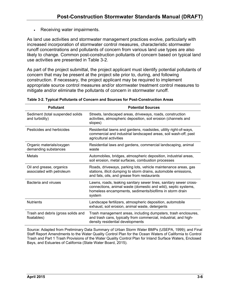• Receiving water impairments.

As land use activities and stormwater management practices evolve, particularly with increased incorporation of stormwater control measures, characteristic stormwater runoff concentrations and pollutants of concern from various land use types are also likely to change. Common post-construction pollutants of concern based on typical land use activities are presented in Table 3-2.

As part of the project submittal, the project applicant must identify potential pollutants of concern that may be present at the project site prior to, during, and following construction. If necessary, the project applicant may be required to implement appropriate source control measures and/or stormwater treatment control measures to mitigate and/or eliminate the pollutants of concern in stormwater runoff.

| <b>Pollutant</b>                                      | <b>Potential Sources</b>                                                                                                                                                                                 |
|-------------------------------------------------------|----------------------------------------------------------------------------------------------------------------------------------------------------------------------------------------------------------|
| Sediment (total suspended solids<br>and turbidity)    | Streets, landscaped areas, driveways, roads, construction<br>activities, atmospheric deposition, soil erosion (channels and<br>slopes)                                                                   |
| Pesticides and herbicides                             | Residential lawns and gardens, roadsides, utility right-of-ways,<br>commercial and industrial landscaped areas, soil wash-off, past<br>agricultural activities                                           |
| Organic materials/oxygen<br>demanding substances      | Residential laws and gardens, commercial landscaping, animal<br>waste                                                                                                                                    |
| Metals                                                | Automobiles, bridges, atmospheric deposition, industrial areas,<br>soil erosion, metal surfaces, combustion processes                                                                                    |
| Oil and grease, organics<br>associated with petroleum | Roads, driveways, parking lots, vehicle maintenance areas, gas<br>stations, illicit dumping to storm drains, automobile emissions,<br>and fats, oils, and grease from restaurants                        |
| Bacteria and viruses                                  | Lawns, roads, leaking sanitary sewer lines, sanitary sewer cross-<br>connections, animal waste (domestic and wild), septic systems,<br>homeless encampments, sediments/biofilms in storm drain<br>system |
| <b>Nutrients</b>                                      | Landscape fertilizers, atmospheric deposition, automobile<br>exhaust, soil erosion, animal waste, detergents                                                                                             |
| Trash and debris (gross solids and<br>floatables)     | Trash management areas, including dumpsters, trash enclosures,<br>and trash cans, typically from commercial, industrial, and high-<br>density residential developments                                   |

| Table 3-2. Typical Pollutants of Concern and Sources for Post-Construction Areas |  |
|----------------------------------------------------------------------------------|--|
|----------------------------------------------------------------------------------|--|

Source: Adapted from Preliminary Data Summary of Urban Storm Water BMPs (USEPA, 1999); and Final Staff Report Amendments to the Water Quality Control Plan for the Ocean Waters of California to Control Trash and Part 1 Trash Provisions of the Water Quality Control Plan for Inland Surface Waters, Enclosed Bays, and Estuaries of California (State Water Board, 2015).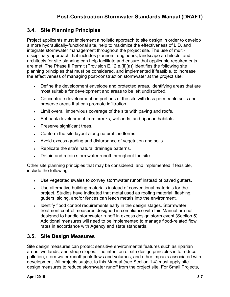### **3.4. Site Planning Principles**

Project applicants must implement a holistic approach to site design in order to develop a more hydraulically-functional site, help to maximize the effectiveness of LID, and integrate stormwater management throughout the project site. The use of multidisciplinary approach that includes planners, engineers, landscape architects, and architects for site planning can help facilitate and ensure that applicable requirements are met. The Phase II Permit (Provision E.12.e.(ii)(a)) identifies the following site planning principles that must be considered, and implemented if feasible, to increase the effectiveness of managing post-construction stormwater at the project site:

- Define the development envelope and protected areas, identifying areas that are most suitable for development and areas to be left undisturbed.
- Concentrate development on portions of the site with less permeable soils and preserve areas that can promote infiltration.
- Limit overall impervious coverage of the site with paving and roofs.
- Set back development from creeks, wetlands, and riparian habitats.
- Preserve significant trees.
- Conform the site layout along natural landforms.
- Avoid excess grading and disturbance of vegetation and soils.
- Replicate the site's natural drainage patterns.
- Detain and retain stormwater runoff throughout the site.

Other site planning principles that may be considered, and implemented if feasible, include the following:

- Use vegetated swales to convey stormwater runoff instead of paved gutters.
- Use alternative building materials instead of conventional materials for the project. Studies have indicated that metal used as roofing material, flashing, gutters, siding, and/or fences can leach metals into the environment.
- Identify flood control requirements early in the design stages. Stormwater treatment control measures designed in compliance with this Manual are not designed to handle stormwater runoff in excess design storm event (Section 5). Additional measures will need to be implemented to manage flood-related flow rates in accordance with Agency and state standards.

### **3.5. Site Design Measures**

Site design measures can protect sensitive environmental features such as riparian areas, wetlands, and steep slopes. The intention of site design principles is to reduce pollution, stormwater runoff peak flows and volumes, and other impacts associated with development. All projects subject to this Manual (see Section 1.4) must apply site design measures to reduce stormwater runoff from the project site. For Small Projects,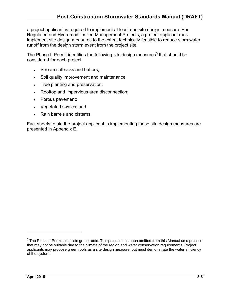a project applicant is required to implement at least one site design measure. For Regulated and Hydromodification Management Projects, a project applicant must implement site design measures to the extent technically feasible to reduce stormwater runoff from the design storm event from the project site.

The Phase II Permit identifies the following site design measures<sup>5</sup> that should be considered for each project:

- Stream setbacks and buffers;
- Soil quality improvement and maintenance;
- Tree planting and preservation;
- Rooftop and impervious area disconnection;
- Porous pavement;
- Vegetated swales; and
- Rain barrels and cisterns.

Fact sheets to aid the project applicant in implementing these site design measures are presented in Appendix E.

 $\overline{a}$ 

<sup>&</sup>lt;sup>5</sup> The Phase II Permit also lists green roofs. This practice has been omitted from this Manual as a practice that may not be suitable due to the climate of the region and water conservation requirements. Project applicants may propose green roofs as a site design measure, but must demonstrate the water efficiency of the system.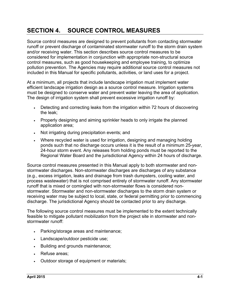# **SECTION 4. SOURCE CONTROL MEASURES**

Source control measures are designed to prevent pollutants from contacting stormwater runoff or prevent discharge of contaminated stormwater runoff to the storm drain system and/or receiving water. This section describes source control measures to be considered for implementation in conjunction with appropriate non-structural source control measures, such as good housekeeping and employee training, to optimize pollution prevention. The Agencies may require additional source control measures not included in this Manual for specific pollutants, activities, or land uses for a project.

At a minimum, all projects that include landscape irrigation must implement water efficient landscape irrigation design as a source control measure. Irrigation systems must be designed to conserve water and prevent water leaving the area of application. The design of irrigation system shall prevent excessive irrigation runoff by:

- Detecting and correcting leaks from the irrigation within 72 hours of discovering the leak;
- Properly designing and aiming sprinkler heads to only irrigate the planned application area;
- Not irrigating during precipitation events; and
- Where recycled water is used for irrigation, designing and managing holding ponds such that no discharge occurs unless it is the result of a minimum 25-year, 24-hour storm event. Any releases from holding ponds must be reported to the Regional Water Board and the jurisdictional Agency within 24 hours of discharge.

Source control measures presented in this Manual apply to both stormwater and nonstormwater discharges. Non-stormwater discharges are discharges of any substance (e.g., excess irrigation, leaks and drainage from trash dumpsters, cooling water, and process wastewater) that is not comprised entirely of stormwater runoff. Any stormwater runoff that is mixed or comingled with non-stormwater flows is considered nonstormwater. Stormwater and non-stormwater discharges to the storm drain system or receiving water may be subject to local, state, or federal permitting prior to commencing discharge. The jurisdictional Agency should be contacted prior to any discharge.

The following source control measures must be implemented to the extent technically feasible to mitigate pollutant mobilization from the project site in stormwater and nonstormwater runoff:

- Parking/storage areas and maintenance;
- Landscape/outdoor pesticide use;
- Building and grounds maintenance;
- Refuse areas;
- Outdoor storage of equipment or materials;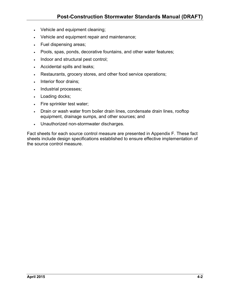- Vehicle and equipment cleaning;
- Vehicle and equipment repair and maintenance;
- Fuel dispensing areas;
- Pools, spas, ponds, decorative fountains, and other water features;
- Indoor and structural pest control;
- Accidental spills and leaks;
- Restaurants, grocery stores, and other food service operations;
- Interior floor drains;
- Industrial processes;
- Loading docks;
- Fire sprinkler test water;
- Drain or wash water from boiler drain lines, condensate drain lines, rooftop equipment, drainage sumps, and other sources; and
- Unauthorized non-stormwater discharges.

Fact sheets for each source control measure are presented in Appendix F. These fact sheets include design specifications established to ensure effective implementation of the source control measure.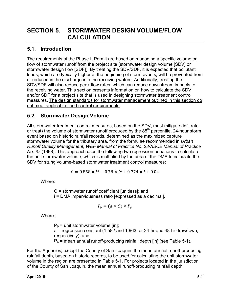### **5.1. Introduction**

The requirements of the Phase II Permit are based on managing a specific volume or flow of stormwater runoff from the project site (stormwater design volume [SDV] or stormwater design flow [SDF]). By treating the SDV/SDF, it is expected that pollutant loads, which are typically higher at the beginning of storm events, will be prevented from or reduced in the discharge into the receiving waters. Additionally, treating the SDV/SDF will also reduce peak flow rates, which can reduce downstream impacts to the receiving water. This section presents information on how to calculate the SDV and/or SDF for a project site that is used in designing stormwater treatment control measures. The design standards for stormwater management outlined in this section do not meet applicable flood control requirements.

### **5.2. Stormwater Design Volume**

All stormwater treatment control measures, based on the SDV, must mitigate (infiltrate or treat) the volume of stormwater runoff produced by the 85<sup>th</sup> percentile, 24-hour storm event based on historic rainfall records, determined as the maximized capture stormwater volume for the tributary area, from the formulae recommended in *Urban Runoff Quality Management, WEF Manual of Practice No. 23/ASCE Manual of Practice No. 87* (1998). This approach uses the following two regression equations to calculate the unit stormwater volume, which is multiplied by the area of the DMA to calculate the SDV for sizing volume-based stormwater treatment control measures:

$$
C = 0.858 \times i^3 - 0.78 \times i^2 + 0.774 \times i + 0.04
$$

Where:

C = stormwater runoff coefficient [unitless]; and i = DMA imperviousness ratio [expressed as a decimal].

$$
P_0 = (a \times C) \times P_6
$$

Where:

 $P_0$  = unit stormwater volume [in]; a = regression constant (1.582 and 1.963 for 24-hr and 48-hr drawdown, respectively); and  $P_6$  = mean annual runoff-producing rainfall depth [in] (see Table 5-1).

For the Agencies, except the County of San Joaquin, the mean annual runoff-producing rainfall depth, based on historic records, to be used for calculating the unit stormwater volume in the region are presented in Table 5-1. For projects located in the jurisdiction of the County of San Joaquin, the mean annual runoff-producing rainfall depth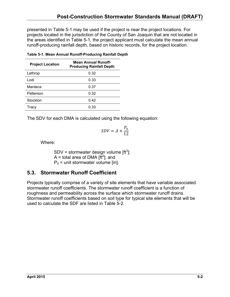presented in Table 5-1 may be used if the project is near the project locations. For projects located in the jurisdiction of the County of San Joaquin that are not located in the areas identified in Table 5-1, the project applicant must calculate the mean annual runoff-producing rainfall depth, based on historic records, for the project location.

| <b>Project Location</b> | <b>Mean Annual Runoff-</b><br><b>Producing Rainfall Depth</b> |
|-------------------------|---------------------------------------------------------------|
| Lathrop                 | 0.32                                                          |
| Lodi                    | 0.33                                                          |
| Manteca                 | 0.37                                                          |
| Patterson               | 0.32                                                          |
| Stockton                | 0.42                                                          |
| Tracv                   | 0.33                                                          |

**Table 5-1. Mean Annual Runoff-Producing Rainfall Depth** 

The SDV for each DMA is calculated using the following equation:

$$
SDV = A \times \frac{P_0}{12}
$$

Where:

SDV = stormwater design volume  $[ft^3]$ ; A = total area of DMA  $[\text{ft}^2]$ ; and  $P_0$  = unit stormwater volume [in].

### **5.3. Stormwater Runoff Coefficient**

Projects typically comprise of a variety of site elements that have variable associated stormwater runoff coefficients. The stormwater runoff coefficient is a function of roughness and permeability across the surface which stormwater runoff drains. Stormwater runoff coefficients based on soil type for typical site elements that will be used to calculate the SDF are listed in Table 5-2.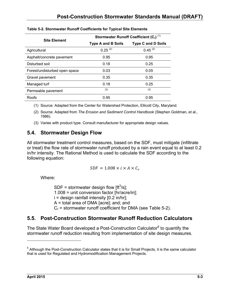| <b>Site Element</b>           | Stormwater Runoff Coefficient $(C_r)^{(1)}$ |                           |  |
|-------------------------------|---------------------------------------------|---------------------------|--|
|                               | <b>Type A and B Soils</b>                   | <b>Type C and D Soils</b> |  |
| Agricultural                  | $0.25^{(2)}$                                | $0.45^{(2)}$              |  |
| Asphalt/concrete pavement     | 0.95                                        | 0.95                      |  |
| Disturbed soil                | 0.18                                        | 0.25                      |  |
| Forest/undisturbed open space | 0.03                                        | 0.05                      |  |
| Gravel pavement               | 0.35                                        | 0.35                      |  |
| Managed turf                  | 0.18                                        | 0.25                      |  |
| Permeable pavement            | (3)                                         | (3)                       |  |
| Roofs                         | 0.95                                        | 0.95                      |  |

#### **Table 5-2. Stormwater Runoff Coefficients for Typical Site Elements**

(1) Source: Adapted from the Center for Watershed Protection, Ellicott City, Maryland.

(2) Source: Adapted from *The Erosion and Sediment Control Handbook* (Stephen Goldman, et al., 1986).

(3) Varies with product type. Consult manufacturer for appropriate design values.

### **5.4. Stormwater Design Flow**

All stormwater treatment control measures, based on the SDF, must mitigate (infiltrate or treat) the flow rate of stormwater runoff produced by a rain event equal to at least 0.2 in/hr intensity. The Rational Method is used to calculate the SDF according to the following equation:

$$
SDF=1.008\times i\times A\times C_r
$$

Where:

SDF = stormwater design flow  $[ft^3/s]$ ; 1.008 = unit conversion factor [hr/acre/in];  $i =$  design rainfall intensity  $[0.2 \text{ in/hr}]$ ; A = total area of DMA [acre]; and; and  $C_r$  = stormwater runoff coefficient for DMA (see Table 5-2).

### **5.5. Post-Construction Stormwater Runoff Reduction Calculators**

The State Water Board developed a Post-Construction Calculator<sup>6</sup> to quantify the stormwater runoff reduction resulting from implementation of site design measures.

 $\overline{a}$ 

 $^6$  Although the Post-Construction Calculator states that it is for Small Projects, it is the same calculator that is used for Regulated and Hydromodification Management Projects.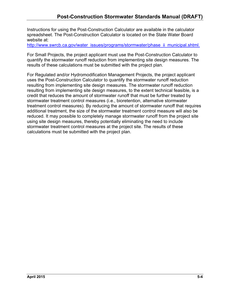Instructions for using the Post-Construction Calculator are available in the calculator spreadsheet. The Post-Construction Calculator is located on the State Water Board website at:

http://www.swrcb.ca.gov/water\_issues/programs/stormwater/phase\_ii\_municipal.shtml.

For Small Projects, the project applicant must use the Post-Construction Calculator to quantify the stormwater runoff reduction from implementing site design measures. The results of these calculations must be submitted with the project plan.

For Regulated and/or Hydromodification Management Projects, the project applicant uses the Post-Construction Calculator to quantify the stormwater runoff reduction resulting from implementing site design measures. The stormwater runoff reduction resulting from implementing site design measures, to the extent technical feasible, is a credit that reduces the amount of stormwater runoff that must be further treated by stormwater treatment control measures (i.e., bioretention, alternative stormwater treatment control measures). By reducing the amount of stormwater runoff that requires additional treatment, the size of the stormwater treatment control measure will also be reduced. It may possible to completely manage stormwater runoff from the project site using site design measures, thereby potentially eliminating the need to include stormwater treatment control measures at the project site. The results of these calculations must be submitted with the project plan.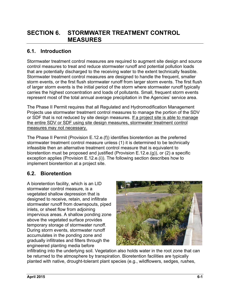# **SECTION 6. STORMWATER TREATMENT CONTROL MEASURES**

### **6.1. Introduction**

Stormwater treatment control measures are required to augment site design and source control measures to treat and reduce stormwater runoff and potential pollution loads that are potentially discharged to the receiving water to the extent technically feasible. Stormwater treatment control measures are designed to handle the frequent, smaller storm events, or the first flush stormwater runoff from larger storm events. The first flush of larger storm events is the initial period of the storm where stormwater runoff typically carries the highest concentration and loads of pollutants. Small, frequent storm events represent most of the total annual average precipitation in the Agencies' service area.

The Phase II Permit requires that all Regulated and Hydromodification Management Projects use stormwater treatment control measures to manage the portion of the SDV or SDF that is not reduced by site design measures. If a project site is able to manage the entire SDV or SDF using site design measures, stormwater treatment control measures may not necessary.

The Phase II Permit (Provision E.12.e.(f)) identifies bioretention as the preferred stormwater treatment control measure unless (1) it is determined to be technically infeasible then an alternative treatment control measure that is equivalent to bioretention must be proposed and justified (Provision E.12.e.(g)), or (2) a specific exception applies (Provision E.12.e.(i)). The following section describes how to implement bioretention at a project site.

### **6.2. Bioretention**

A bioretention facility, which is an LID stormwater control measure, is a vegetated shallow depression that is designed to receive, retain, and infiltrate stormwater runoff from downspouts, piped inlets, or sheet flow from adjoining impervious areas. A shallow ponding zone above the vegetated surface provides temporary storage of stormwater runoff. During storm events, stormwater runoff accumulates in the ponding zone and gradually infiltrates and filters through the engineered planting media before



infiltrating into the underlying soil. Vegetation also holds water in the root zone that can be returned to the atmosphere by transpiration. Bioretention facilities are typically planted with native, drought-tolerant plant species (e.g., wildflowers, sedges, rushes,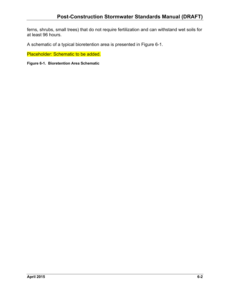ferns, shrubs, small trees) that do not require fertilization and can withstand wet soils for at least 96 hours.

A schematic of a typical bioretention area is presented in Figure 6-1.

Placeholder: Schematic to be added.

**Figure 6-1. Bioretention Area Schematic**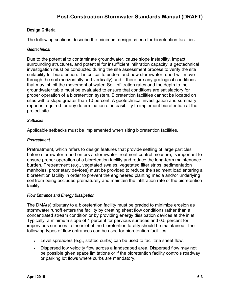### **Design Criteria**

The following sections describe the minimum design criteria for bioretention facilities.

#### *Geotechnical*

Due to the potential to contaminate groundwater, cause slope instability, impact surrounding structures, and potential for insufficient infiltration capacity, a geotechnical investigation must be conducted during the site assessment process to verify the site suitability for bioretention. It is critical to understand how stormwater runoff will move through the soil (horizontally and vertically) and if there are any geological conditions that may inhibit the movement of water. Soil infiltration rates and the depth to the groundwater table must be evaluated to ensure that conditions are satisfactory for proper operation of a bioretention system. Bioretention facilities cannot be located on sites with a slope greater than 10 percent. A geotechnical investigation and summary report is required for any determination of infeasibility to implement bioretention at the project site.

#### *Setbacks*

Applicable setbacks must be implemented when siting bioretention facilities.

#### *Pretreatment*

Pretreatment, which refers to design features that provide settling of large particles before stormwater runoff enters a stormwater treatment control measure, is important to ensure proper operation of a bioretention facility and reduce the long-term maintenance burden. Pretreatment (e.g., vegetated swales, vegetated filter strips, sedimentation manholes, proprietary devices) must be provided to reduce the sediment load entering a bioretention facility in order to prevent the engineered planting media and/or underlying soil from being occluded prematurely and maintain the infiltration rate of the bioretention facility.

#### *Flow Entrance and Energy Dissipation*

The DMA(s) tributary to a bioretention facility must be graded to minimize erosion as stormwater runoff enters the facility by creating sheet flow conditions rather than a concentrated stream condition or by providing energy dissipation devices at the inlet. Typically, a minimum slope of 1 percent for pervious surfaces and 0.5 percent for impervious surfaces to the inlet of the bioretention facility should be maintained. The following types of flow entrances can be used for bioretention facilities:

- Level spreaders (e.g., slotted curbs) can be used to facilitate sheet flow.
- Dispersed low velocity flow across a landscaped area. Dispersed flow may not be possible given space limitations or if the bioretention facility controls roadway or parking lot flows where curbs are mandatory.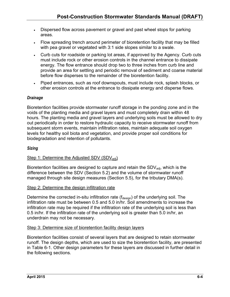- Dispersed flow across pavement or gravel and past wheel stops for parking areas.
- Flow spreading trench around perimeter of bioretention facility that may be filled with pea gravel or vegetated with 3:1 side slopes similar to a swale.
- Curb cuts for roadside or parking lot areas, if approved by the Agency. Curb cuts must include rock or other erosion controls in the channel entrance to dissipate energy. The flow entrance should drop two to three inches from curb line and provide an area for settling and periodic removal of sediment and coarse material before flow disperses to the remainder of the bioretention facility.
- Piped entrances, such as roof downspouts, must include rock, splash blocks, or other erosion controls at the entrance to dissipate energy and disperse flows.

#### *Drainage*

Bioretention facilities provide stormwater runoff storage in the ponding zone and in the voids of the planting media and gravel layers and must completely drain within 48 hours. The planting media and gravel layers and underlying soils must be allowed to dry out periodically in order to restore hydraulic capacity to receive stormwater runoff from subsequent storm events, maintain infiltration rates, maintain adequate soil oxygen levels for healthy soil biota and vegetation, and provide proper soil conditions for biodegradation and retention of pollutants.

#### *Sizing*

#### Step 1: Determine the Adjusted SDV (SDV<sub>adi</sub>)

Bioretention facilities are designed to capture and retain the  $SDV<sub>adi</sub>$ , which is the difference between the SDV (Section 5.2) and the volume of stormwater runoff managed through site design measures (Section 5.5), for the tributary DMA(s).

#### Step 2: Determine the design infiltration rate

Determine the corrected in-situ infiltration rate ( $f_{\text{design}}$ ) of the underlying soil. The infiltration rate must be between 0.5 and 5.0 in/hr. Soil amendments to increase the infiltration rate may be required if the infiltration rate of the underlying soil is less than 0.5 in/hr. If the infiltration rate of the underlying soil is greater than 5.0 in/hr, an underdrain may not be necessary.

#### Step 3: Determine size of bioretention facility design layers

Bioretention facilities consist of several layers that are designed to retain stormwater runoff. The design depths, which are used to size the bioretention facility, are presented in Table 6-1. Other design parameters for these layers are discussed in further detail in the following sections.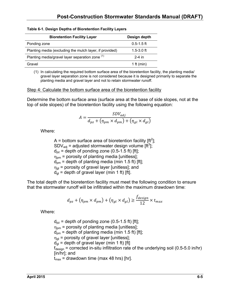| <b>Bioretention Facility Layer</b>                         | Design depth   |
|------------------------------------------------------------|----------------|
| Ponding zone                                               | $0.5 - 1.5$ ft |
| Planting media (excluding the mulch layer, if provided)    | $1.5 - 3.0$ ft |
| Planting media/gravel layer separation zone <sup>(1)</sup> | $2-4$ in       |
| Gravel                                                     | 1 ft (min)     |

#### **Table 6-1. Design Depths of Bioretention Facility Layers**

(1) In calculating the required bottom surface area of the bioretention facility, the planting media/ gravel layer separation zone is not considered because it is designed primarily to separate the planting media and gravel layer and not to retain stormwater runoff.

#### Step 4: Calculate the bottom surface area of the bioretention facility

Determine the bottom surface area (surface area at the base of side slopes, not at the top of side slopes) of the bioretention facility using the following equation:

$$
A = \frac{SDV_{adj}}{d_{pz} + (\eta_{pm} \times d_{pm}) + (\eta_{gl} \times d_{gl})}
$$

Where:

A = bottom surface area of bioretention facility [ft<sup>2</sup>]; SDV<sub>adj</sub> = adjusted stormwater design volume [ft<sup>3</sup>];  $d_{pz}$  = depth of ponding zone (0.5-1.5 ft) [ft];  $\eta_{\text{om}}$  = porosity of planting media [unitless];  $d_{\text{om}}$  = depth of planting media (min 1.5 ft) [ft];  $\eta_{\text{ol}}$  = porosity of gravel layer [unitless]; and  $d_{ql}$  = depth of gravel layer (min 1 ft) [ft].

The total depth of the bioretention facility must meet the following condition to ensure that the stormwater runoff will be infiltrated within the maximum drawdown time:

$$
d_{pz} + (\eta_{pm} \times d_{pm}) + (\eta_{gl} \times d_{gl}) \ge \frac{f_{design}}{12} \times t_{max}
$$

Where:

 $d_{pz}$  = depth of ponding zone (0.5-1.5 ft) [ft];  $\eta_{\text{om}}$  = porosity of planting media [unitless];  $d_{\text{om}}$  = depth of planting media (min 1.5 ft) [ft];  $\eta_{\rm el}$  = porosity of gravel layer [unitless];  $d_{\text{ql}}$  = depth of gravel layer (min 1 ft) [ft]  $f_{\text{design}}$  = corrected in-situ infiltration rate of the underlying soil (0.5-5.0 in/hr) [in/hr]; and  $t_{\text{max}}$  = drawdown time (max 48 hrs) [hr].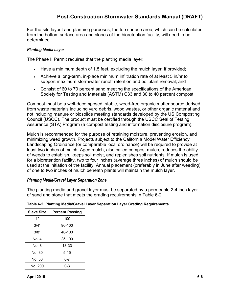For the site layout and planning purposes, the top surface area, which can be calculated from the bottom surface area and slopes of the bioretention facility, will need to be determined.

#### *Planting Media Layer*

The Phase II Permit requires that the planting media layer:

- Have a minimum depth of 1.5 feet, excluding the mulch layer, if provided;
- Achieve a long-term, in-place minimum infiltration rate of at least 5 in/hr to support maximum stormwater runoff retention and pollutant removal; and
- Consist of 60 to 70 percent sand meeting the specifications of the American Society for Testing and Materials (ASTM) C33 and 30 to 40 percent compost.

Compost must be a well-decomposed, stable, weed-free organic matter source derived from waste materials including yard debris, wood wastes, or other organic material and not including manure or biosolids meeting standards developed by the US Composting Council (USCC). The product must be certified through the USCC Seal of Testing Assurance (STA) Program (a compost testing and information disclosure program).

Mulch is recommended for the purpose of retaining moisture, preventing erosion, and minimizing weed growth. Projects subject to the California Model Water Efficiency Landscaping Ordinance (or comparable local ordinance) will be required to provide at least two inches of mulch. Aged mulch, also called compost mulch, reduces the ability of weeds to establish, keeps soil moist, and replenishes soil nutrients. If mulch is used for a bioretention facility, two to four inches (average three inches) of mulch should be used at the initiation of the facility. Annual placement (preferably in June after weeding) of one to two inches of mulch beneath plants will maintain the mulch layer.

#### *Planting Media/Gravel Layer Separation Zone*

The planting media and gravel layer must be separated by a permeable 2-4 inch layer of sand and stone that meets the grading requirements in Table 6-2.

| Sieve Size | <b>Percent Passing</b> |
|------------|------------------------|
| 1"         | 100                    |
| 3/4"       | 90-100                 |
| 3/8"       | 40-100                 |
| No. 4      | 25-100                 |
| No. 8      | 18-33                  |
| No. 30     | $5 - 15$               |
| No. 50     | $0 - 7$                |
| No. 200    | 0-3                    |
|            |                        |

#### **Table 6-2. Planting Media/Gravel Layer Separation Layer Grading Requirements**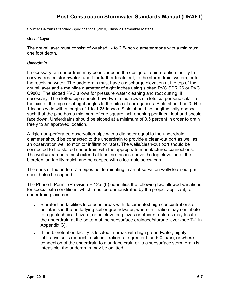Source: Caltrans Standard Specifications (2010) Class 2 Permeable Material

#### *Gravel Layer*

The gravel layer must consist of washed 1- to 2.5-inch diameter stone with a minimum one foot depth.

#### *Underdrain*

If necessary, an underdrain may be included in the design of a bioretention facility to convey treated stormwater runoff for further treatment, to the storm drain system, or to the receiving water. The underdrain must have a discharge elevation at the top of the gravel layer and a mainline diameter of eight inches using slotted PVC SDR 26 or PVC C9000. The slotted PVC allows for pressure water cleaning and root cutting, if necessary. The slotted pipe should have two to four rows of slots cut perpendicular to the axis of the pipe or at right angles to the pitch of corrugations. Slots should be 0.04 to 1 inches wide with a length of 1 to 1.25 inches. Slots should be longitudinally-spaced such that the pipe has a minimum of one square inch opening per lineal foot and should face down. Underdrains should be sloped at a minimum of 0.5 percent in order to drain freely to an approved location.

A rigid non-perforated observation pipe with a diameter equal to the underdrain diameter should be connected to the underdrain to provide a clean-out port as well as an observation well to monitor infiltration rates. The wells/clean-out port should be connected to the slotted underdrain with the appropriate manufactured connections. The wells/clean-outs must extend at least six inches above the top elevation of the bioretention facility mulch and be capped with a lockable screw cap.

The ends of the underdrain pipes not terminating in an observation well/clean-out port should also be capped.

The Phase II Permit (Provision E.12.e.(h)) identifies the following two allowed variations for special site conditions, which must be demonstrated by the project applicant, for underdrain placement:

- Bioretention facilities located in areas with documented high concentrations of pollutants in the underlying soil or groundwater, where infiltration may contribute to a geotechnical hazard, or on elevated plazas or other structures may locate the underdrain at the bottom of the subsurface drainage/storage layer (see T-1 in Appendix G).
- If the bioretention facility is located in areas with high groundwater, highly infiltrative soils (correct in-situ infiltration rate greater than 5.0 in/hr), or where connection of the underdrain to a surface drain or to a subsurface storm drain is infeasible, the underdrain may be omitted.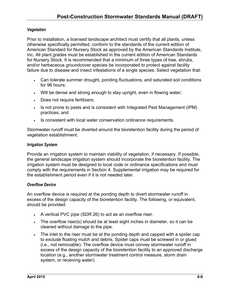#### *Vegetation*

Prior to installation, a licensed landscape architect must certify that all plants, unless otherwise specifically permitted, conform to the standards of the current edition of American Standard for Nursery Stock as approved by the American Standards Institute, Inc. All plant grades must be established in the current edition of American Standards for Nursery Stock. It is recommended that a minimum of three types of tree, shrubs, and/or herbaceous groundcover species be incorporated to protect against facility failure due to disease and insect infestations of a single species. Select vegetation that:

- Can tolerate summer drought, ponding fluctuations, and saturated soil conditions for 96 hours;
- Will be dense and strong enough to stay upright, even in flowing water;
- Does not require fertilizers;
- Is not prone to pests and is consistent with Integrated Pest Management (IPM) practices; and
- . Is consistent with local water conservation ordinance requirements.

Stormwater runoff must be diverted around the bioretention facility during the period of vegetation establishment.

#### *Irrigation System*

Provide an irrigation system to maintain viability of vegetation, if necessary. If possible, the general landscape irrigation system should incorporate the bioretention facility. The irrigation system must be designed to local code or ordinance specifications and must comply with the requirements in Section 4. Supplemental irrigation may be required for the establishment period even if it is not needed later.

#### *Overflow Device*

An overflow device is required at the ponding depth to divert stormwater runoff in excess of the design capacity of the bioretention facility. The following, or equivalent, should be provided:

- A vertical PVC pipe (SDR 26) to act as an overflow riser.
- The overflow riser(s) should be at least eight inches in diameter, so it can be cleaned without damage to the pipe.
- The inlet to the riser must be at the ponding depth and capped with a spider cap to exclude floating mulch and debris. Spider caps must be screwed in or glued (i.e., not removable). The overflow device must convey stormwater runoff in excess of the design capacity of the bioretention facility to an approved discharge location (e.g., another stormwater treatment control measure, storm drain system, or receiving water).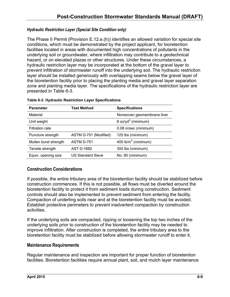#### *Hydraulic Restriction Layer (Special Site Condition only)*

The Phase II Permit (Provision E.12.e.(h)) identifies an allowed variation for special site conditions, which must be demonstrated by the project applicant, for bioretention facilities located in areas with documented high concentrations of pollutants in the underlying soil or groundwater, where infiltration may contribute to a geotechnical hazard, or on elevated plazas or other structures. Under these circumstances, a hydraulic restriction layer may be incorporated at the bottom of the gravel layer to prevent infiltration of stormwater runoff into the underlying soil. The hydraulic restriction layer should be installed generously with overlapping seams below the gravel layer of the bioretention facility prior to placing the planting media and gravel layer separation zone and planting media layer. The specifications of the hydraulic restriction layer are presented in Table 6-3.

| <b>Parameter</b>       | <b>Test Method</b>       | <b>Specifications</b>            |
|------------------------|--------------------------|----------------------------------|
| Material               |                          | Nonwoven geomembrane liner       |
| Unit weight            |                          | 8 oz/yd <sup>3</sup> (minimum)   |
| <b>Filtration rate</b> |                          | 0.08 in/sec (minimum)            |
| Puncture strength      | ASTM D-751 (Modified)    | 125 lbs (minimum)                |
| Mullen burst strength  | ASTM D-751               | 400 lb/in <sup>2</sup> (minimum) |
| Tensile strength       | <b>AST D-1682</b>        | 300 lbs (minimum)                |
| Equiv. opening size    | <b>US Standard Sieve</b> | No. 80 (minimum)                 |

### **Construction Considerations**

If possible, the entire tributary area of the bioretention facility should be stabilized before construction commences. If this is not possible, all flows must be diverted around the bioretention facility to protect it from sediment loads during construction. Sediment controls should also be implemented to prevent sediment from entering the facility. Compaction of underling soils near and at the bioretention facility must be avoided. Establish protective perimeters to prevent inadvertent compaction by construction activities.

If the underlying soils are compacted, ripping or loosening the top two inches of the underlying soils prior to construction of the bioretention facility may be needed to improve infiltration. After construction is completed, the entire tributary area to the bioretention facility must be stabilized before allowing stormwater runoff to enter it.

#### **Maintenance Requirements**

Regular maintenance and inspection are important for proper function of bioretention facilities. Bioretention facilities require annual plant, soil, and mulch layer maintenance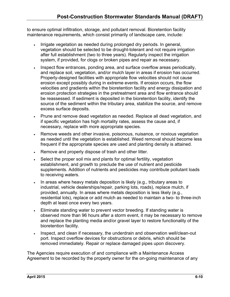to ensure optimal infiltration, storage, and pollutant removal. Bioretention facility maintenance requirements, which consist primarily of landscape care, include:

- Irrigate vegetation as needed during prolonged dry periods. In general, vegetation should be selected to be drought-tolerant and not require irrigation after full establishment (two to three years). Regularly inspect the irrigation system, if provided, for clogs or broken pipes and repair as necessary.
- Inspect flow entrances, ponding area, and surface overflow areas periodically, and replace soil, vegetation, and/or mulch layer in areas if erosion has occurred. Properly-designed facilities with appropriate flow velocities should not cause erosion except possibly during in extreme events. If erosion occurs, the flow velocities and gradients within the bioretention facility and energy dissipation and erosion protection strategies in the pretreatment area and flow entrance should be reassessed. If sediment is deposited in the bioretention facility, identify the source of the sediment within the tributary area, stabilize the source, and remove excess surface deposits.
- Prune and remove dead vegetation as needed. Replace all dead vegetation, and if specific vegetation has high mortality rates, assess the cause and, if necessary, replace with more appropriate species.
- Remove weeds and other invasive, poisonous, nuisance, or noxious vegetation as needed until the vegetation is established. Weed removal should become less frequent if the appropriate species are used and planting density is attained.
- Remove and properly dispose of trash and other litter.
- Select the proper soil mix and plants for optimal fertility, vegetation establishment, and growth to preclude the use of nutrient and pesticide supplements. Addition of nutrients and pesticides may contribute pollutant loads to receiving waters.
- In areas where heavy metals deposition is likely (e.g., tributary areas to industrial, vehicle dealerships/repair, parking lots, roads), replace mulch, if provided, annually. In areas where metals deposition is less likely (e.g., residential lots), replace or add mulch as needed to maintain a two- to three-inch depth at least once every two years.
- Eliminate standing water to prevent vector breeding. If standing water is observed more than 96 hours after a storm event, it may be necessary to remove and replace the planting media and/or gravel layer to restore functionality of the bioretention facility.
- Inspect, and clean if necessary, the underdrain and observation well/clean-out port. Inspect overflow devices for obstructions or debris, which should be removed immediately. Repair or replace damaged pipes upon discovery.

The Agencies require execution of and compliance with a Maintenance Access Agreement to be recorded by the property owner for the on-going maintenance of any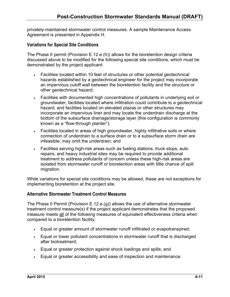privately-maintained stormwater control measures. A sample Maintenance Access Agreement is presented in Appendix H.

### **Variations for Special Site Conditions**

The Phase II permit (Provision E.12.e.(h)) allows for the bioretention design criteria discussed above to be modified for the following special site conditions, which must be demonstrated by the project applicant:

- Facilities located within 10 feet of structures or other potential geotechnical hazards established by a geotechnical engineer for the project may incorporate an impervious cutoff wall between the bioretention facility and the structure or other geotechnical hazard;
- Facilities with documented high concentrations of pollutants in underlying soil or groundwater, facilities located where infiltration could contribute to a geotechnical hazard, and facilities located on elevated plazas or other structures may incorporate an impervious liner and may locate the underdrain discharge at the bottom of the subsurface drainage/storage layer (this configuration is commonly known as a "flow-through planter");
- Facilities located in areas of high groundwater, highly infiltrative soils or where connection of underdrain to a surface drain or to a subsurface storm drain are infeasible, may omit the underdrain; and
- Facilities serving high-risk areas such as fueling stations, truck stops, auto repairs, and heavy industrial sites may be required to provide additional treatment to address pollutants of concern unless these high-risk areas are isolated from stormwater runoff or bioretention areas with little chance of spill migration.

While variations for special site conditions may be allowed, these are not exceptions for implementing bioretention at the project site.

#### **Alternative Stormwater Treatment Control Measures**

The Phase II Permit (Provision E.12.e.(g)) allows the use of alternative stormwater treatment control measure(s) if the project applicant demonstrates that the proposed measure meets all of the following measures of equivalent effectiveness criteria when compared to a bioretention facility:

- Equal or greater amount of stormwater runoff infiltrated or evapotranspired;
- Equal or lower pollutant concentrations in stormwater runoff that is discharged after biotreatment;
- Equal or greater protection against shock loadings and spills; and
- Equal or greater accessibility and ease of inspection and maintenance.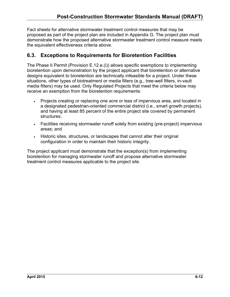Fact sheets for alternative stormwater treatment control measures that may be proposed as part of the project plan are included in Appendix G. The project plan must demonstrate how the proposed alternative stormwater treatment control measure meets the equivalent effectiveness criteria above.

### **6.3. Exceptions to Requirements for Bioretention Facilities**

The Phase II Permit (Provision E.12.e.(i)) allows specific exemptions to implementing bioretention upon demonstration by the project applicant that bioretention or alternative designs equivalent to bioretention are technically infeasible for a project. Under these situations, other types of biotreatment or media filters (e.g., tree-well filters, in-vault media filters) may be used. Only Regulated Projects that meet the criteria below may receive an exemption from the bioretention requirements:

- Projects creating or replacing one acre or less of impervious area, and located in a designated pedestrian-oriented commercial district (i.e., smart growth projects), and having at least 85 percent of the entire project site covered by permanent structures;
- Facilities receiving stormwater runoff solely from existing (pre-project) impervious areas; and
- Historic sites, structures, or landscapes that cannot alter their original configuration in order to maintain their historic integrity.

The project applicant must demonstrate that the exception(s) from implementing bioretention for managing stormwater runoff and propose alternative stormwater treatment control measures applicable to the project site.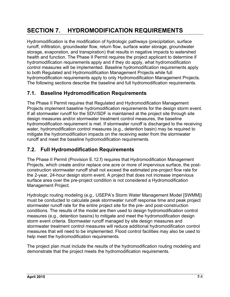# **SECTION 7. HYDROMODIFICATION REQUIREMENTS**

Hydromodification is the modification of hydrologic pathways (precipitation, surface runoff, infiltration, groundwater flow, return flow, surface water storage, groundwater storage, evaporation, and transpiration) that results in negative impacts to watershed health and function. The Phase II Permit requires the project applicant to determine if hydromodification requirements apply and if they do apply, what hydromodification control measures will be implemented. Baseline hydromodification requirements apply to both Regulated and Hydromodification Management Projects while full hydromodification requirements apply to only Hydromodification Management Projects. The following sections describe the baseline and full hydromodification requirements.

### **7.1. Baseline Hydromodification Requirements**

The Phase II Permit requires that Regulated and Hydromodification Management Projects implement baseline hydromodification requirements for the design storm event. If all stormwater runoff for the SDV/SDF is maintained at the project site through site design measures and/or stormwater treatment control measures, the baseline hydromodification requirement is met. If stormwater runoff is discharged to the receiving water, hydromodification control measures (e.g., detention basin) may be required to mitigate the hydromodification impacts on the receiving water from the stormwater runoff and meet the baseline hydromodification requirements.

### **7.2. Full Hydromodification Requirements**

The Phase II Permit (Provision E.12.f) requires that Hydromodification Management Projects, which create and/or replace one acre or more of impervious surface, the postconstruction stormwater runoff shall not exceed the estimated pre-project flow rate for the 2-year, 24-hour design storm event. A project that does not increase impervious surface area over the pre-project condition is not considered a Hydromodification Management Project.

Hydrologic routing modeling (e.g., USEPA's Storm Water Management Model [SWMM]) must be conducted to calculate peak stormwater runoff response time and peak project stormwater runoff rate for the entire project site for the pre- and post-construction conditions. The results of the model are then used to design hydromodification control measures (e.g., detention basins) to mitigate and meet the hydromodification design storm event criteria. Stormwater runoff managed by site design measures and stormwater treatment control measures will reduce additional hydromodification control measures that will need to be implemented. Flood control facilities may also be used to help meet the hydromodification requirements.

The project plan must include the results of the hydromodification routing modeling and demonstrate that the project meets the hydromodification requirements.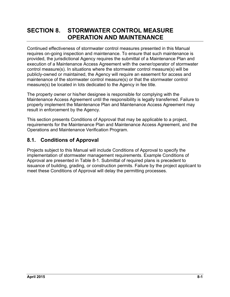# **SECTION 8. STORMWATER CONTROL MEASURE OPERATION AND MAINTENANCE**

Continued effectiveness of stormwater control measures presented in this Manual requires on-going inspection and maintenance. To ensure that such maintenance is provided, the jurisdictional Agency requires the submittal of a Maintenance Plan and execution of a Maintenance Access Agreement with the owner/operator of stormwater control measure(s). In situations where the stormwater control measure(s) will be publicly-owned or maintained, the Agency will require an easement for access and maintenance of the stormwater control measure(s) or that the stormwater control measure(s) be located in lots dedicated to the Agency in fee title.

The property owner or his/her designee is responsible for complying with the Maintenance Access Agreement until the responsibility is legally transferred. Failure to properly implement the Maintenance Plan and Maintenance Access Agreement may result in enforcement by the Agency.

This section presents Conditions of Approval that may be applicable to a project, requirements for the Maintenance Plan and Maintenance Access Agreement, and the Operations and Maintenance Verification Program.

### **8.1. Conditions of Approval**

Projects subject to this Manual will include Conditions of Approval to specify the implementation of stormwater management requirements. Example Conditions of Approval are presented in Table 8-1. Submittal of required plans is precedent to issuance of building, grading, or construction permits. Failure by the project applicant to meet these Conditions of Approval will delay the permitting processes.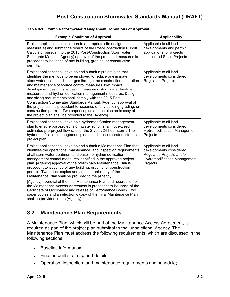| <b>Example Condition of Approval</b>                                                                                                                                                                                                                                                                                                                                                                                                                                                                                                                                                                                                                                                                                                                                                                                                                    | <b>Applicability</b>                                                                                                               |
|---------------------------------------------------------------------------------------------------------------------------------------------------------------------------------------------------------------------------------------------------------------------------------------------------------------------------------------------------------------------------------------------------------------------------------------------------------------------------------------------------------------------------------------------------------------------------------------------------------------------------------------------------------------------------------------------------------------------------------------------------------------------------------------------------------------------------------------------------------|------------------------------------------------------------------------------------------------------------------------------------|
| Project applicant shall incorporate appropriate site design<br>measure(s) and submit the results of the Post-Construction Runoff<br>Calculator pursuant to the 2015 Post-Construction Stormwater<br>Standards Manual. [Agency] approval of the proposed measures is<br>precedent to issuance of any building, grading, or construction<br>permits.                                                                                                                                                                                                                                                                                                                                                                                                                                                                                                      | Applicable to all land<br>developments and permit<br>applications for projects<br>considered Small Projects.                       |
| Project applicant shall develop and submit a project plan that<br>identifies the methods to be employed to reduce or eliminate<br>stormwater pollutant discharges through the construction, operation<br>and maintenance of source control measures, low impact<br>development design, site design measures, stormwater treatment<br>measures, and hydromodification management measures. Design<br>and sizing requirements shall comply with the 2015 Post-<br>Construction Stormwater Standards Manual. [Agency] approval of<br>the project plan is precedent to issuance of any building, grading, or<br>construction permits. Two paper copies and an electronic copy of<br>the project plan shall be provided to the [Agency].                                                                                                                     | Applicable to all land<br>developments considered<br>Regulated Projects.                                                           |
| Project applicant shall develop a hydromodification management<br>plan to ensure post-project stormwater runoff shall not exceed<br>estimated pre-project flow rate for the 2-year, 24-hour storm. The<br>hydromodification management plan shall be incorporated into the<br>project plan.                                                                                                                                                                                                                                                                                                                                                                                                                                                                                                                                                             | Applicable to all land<br>developments considered<br><b>Hydromodification Management</b><br>Projects.                              |
| Project applicant shall develop and submit a Maintenance Plan that<br>identifies the operations, maintenance, and inspection requirements<br>of all stormwater treatment and baseline hydromodification<br>management control measures identified in the approved project<br>plan. [Agency] approval of the preliminary Maintenance Plan is<br>precedent to issuance of any building, grading, or construction<br>permits. Two paper copies and an electronic copy of the<br>Maintenance Plan shall be provided to the [Agency].<br>[Agency] approval of the final Maintenance Plan and recordation of<br>the Maintenance Access Agreement is precedent to issuance of the<br>Certificate of Occupancy and release of Performance Bonds. Two<br>paper copies and an electronic copy of the Final Maintenance Plan<br>shall be provided to the [Agency]. | Applicable to all land<br>developments considered<br>Regulated Projects and/or<br><b>Hydromodification Management</b><br>Projects. |

#### **Table 8-1. Example Stormwater Management Conditions of Approval**

### **8.2. Maintenance Plan Requirements**

A Maintenance Plan, which will be part of the Maintenance Access Agreement, is required as part of the project plan submittal to the jurisdictional Agency. The Maintenance Plan must address the following requirements, which are discussed in the following sections:

- Baseline information;
- Final as-built site map and details;
- Operation, inspection, and maintenance requirements and schedule;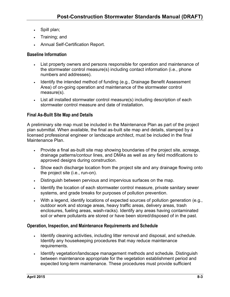- . Spill plan;
- Training; and
- Annual Self-Certification Report.

#### **Baseline Information**

- List property owners and persons responsible for operation and maintenance of the stormwater control measure(s) including contact information (i.e., phone numbers and addresses).
- I Identify the intended method of funding (e.g., Drainage Benefit Assessment Area) of on-going operation and maintenance of the stormwater control measure(s).
- List all installed stormwater control measure(s) including description of each stormwater control measure and date of installation.

#### **Final As-Built Site Map and Details**

A preliminary site map must be included in the Maintenance Plan as part of the project plan submittal. When available, the final as-built site map and details, stamped by a licensed professional engineer or landscape architect, must be included in the final Maintenance Plan.

- Provide a final as-built site map showing boundaries of the project site, acreage, drainage patterns/contour lines, and DMAs as well as any field modifications to approved designs during construction.
- Show each discharge location from the project site and any drainage flowing onto the project site (i.e., run-on).
- Distinguish between pervious and impervious surfaces on the map.
- Identify the location of each stormwater control measure, private sanitary sewer systems, and grade breaks for purposes of pollution prevention.
- With a legend, identify locations of expected sources of pollution generation (e.g., outdoor work and storage areas, heavy traffic areas, delivery areas, trash enclosures, fueling areas, wash-racks). Identify any areas having contaminated soil or where pollutants are stored or have been stored/disposed of in the past.

#### **Operation, Inspection, and Maintenance Requirements and Schedule**

- Identify cleaning activities, including litter removal and disposal, and schedule. Identify any housekeeping procedures that may reduce maintenance requirements.
- Identify vegetation/landscape management methods and schedule. Distinguish between maintenance appropriate for the vegetation establishment period and expected long-term maintenance. These procedures must provide sufficient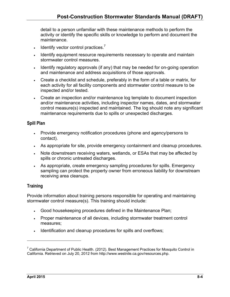detail to a person unfamiliar with these maintenance methods to perform the activity or identify the specific skills or knowledge to perform and document the maintenance.

- $\cdot$  Identify vector control practices.<sup>7</sup>
- I Identify equipment resource requirements necessary to operate and maintain stormwater control measures.
- I Identify regulatory approvals (if any) that may be needed for on-going operation and maintenance and address acquisitions of those approvals.
- Create a checklist and schedule, preferably in the form of a table or matrix, for each activity for all facility components and stormwater control measure to be inspected and/or tested.
- Create an inspection and/or maintenance log template to document inspection and/or maintenance activities, including inspector names, dates, and stormwater control measure(s) inspected and maintained. The log should note any significant maintenance requirements due to spills or unexpected discharges.

#### **Spill Plan**

- Provide emergency notification procedures (phone and agency/persons to contact).
- As appropriate for site, provide emergency containment and cleanup procedures.
- Note downstream receiving waters, wetlands, or ESAs that may be affected by spills or chronic untreated discharges.
- As appropriate, create emergency sampling procedures for spills. Emergency sampling can protect the property owner from erroneous liability for downstream receiving area cleanups.

### **Training**

Provide information about training persons responsible for operating and maintaining stormwater control measure(s). This training should include:

- Good housekeeping procedures defined in the Maintenance Plan;
- Proper maintenance of all devices, including stormwater treatment control measures;
- Identification and cleanup procedures for spills and overflows;

 $\overline{a}$ 

 $^7$  California Department of Public Health. (2012). Best Management Practices for Mosquito Control in California. Retrieved on July 20, 2012 from http://www.westnile.ca.gov/resources.php.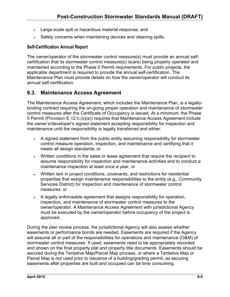- Large-scale spill or hazardous material response; and
- Safety concerns when maintaining devices and cleaning spills.

#### **Self-Certification Annual Report**

The owner/operator of the stormwater control measure(s) must provide an annual selfcertification that its stormwater control measure(s) is(are) being properly operated and maintained according to the Phase II Permit requirements. For public projects, the applicable department is required to provide the annual self-certification. The Maintenance Plan must provide details on how the owner/operator will conduct its annual self-certification.

### **8.3. Maintenance Access Agreement**

The Maintenance Access Agreement, which includes the Maintenance Plan, is a legallybinding contract requiring the on-going proper operation and maintenance of stormwater control measures after the Certificate of Occupancy is issued. At a minimum, the Phase II Permit (Provision E.12.h.(ii)(a)) requires that Maintenance Access Agreement include the owner's/developer's signed statement accepting responsibility for inspection and maintenance until the responsibility is legally transferred and either:

- A signed statement from the public entity assuming responsibility for stormwater control measure operation, inspection, and maintenance and certifying that it meets all design standards; or
- Written conditions in the sales or lease agreement that require the recipient to assume responsibility for inspection and maintenance activities and to conduct a maintenance inspection at least once a year; or
- Written text in project conditions, covenants, and restrictions for residential properties that assign maintenance responsibilities to the entity (e.g., Community Services District) for inspection and maintenance of stormwater control measures; or
- A legally enforceable agreement that assigns responsibility for operation, inspection, and maintenance of stormwater control measures to the owner/operator. A Maintenance Access Agreement with jurisdictional Agency must be executed by the owner/operator before occupancy of the project is approved.

During the plan review process, the jurisdictional Agency will also assess whether easements or performance bonds are needed. Easements are required if the Agency will assume all or part of the responsibilities for operations and maintenance (O&M) of stormwater control measures. If used, easements need to be appropriately recorded and shown on the final property plat and property title documents. Easements should be secured during the Tentative Map/Parcel Map process, or where a Tentative Map or Parcel Map is not used prior to issuance of a building/grading permit, as securing easements after properties are built and occupied can be time consuming.